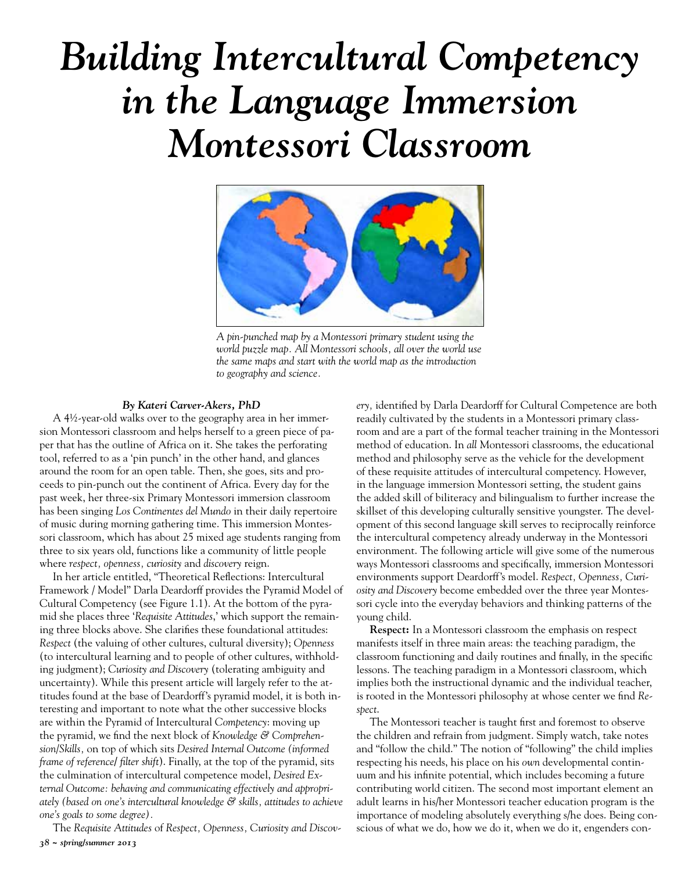# *Building Intercultural Competency in the Language Immersion Montessori Classroom*



*A pin-punched map by a Montessori primary student using the world puzzle map. All Montessori schools, all over the world use the same maps and start with the world map as the introduction to geography and science.*

#### *By Kateri Carver-Akers, PhD*

A 4½-year-old walks over to the geography area in her immersion Montessori classroom and helps herself to a green piece of paper that has the outline of Africa on it. She takes the perforating tool, referred to as a 'pin punch' in the other hand, and glances around the room for an open table. Then, she goes, sits and proceeds to pin-punch out the continent of Africa. Every day for the past week, her three-six Primary Montessori immersion classroom has been singing *Los Continentes del Mundo* in their daily repertoire of music during morning gathering time. This immersion Montessori classroom, which has about 25 mixed age students ranging from three to six years old, functions like a community of little people where *respect, openness, curiosity* and *discovery* reign.

In her article entitled, "Theoretical Reflections: Intercultural Framework / Model" Darla Deardorff provides the Pyramid Model of Cultural Competency (see Figure 1.1). At the bottom of the pyramid she places three '*Requisite Attitudes*,' which support the remaining three blocks above. She clarifies these foundational attitudes: *Respect* (the valuing of other cultures, cultural diversity); *Openness* (to intercultural learning and to people of other cultures, withholding judgment); *Curiosity and Discovery* (tolerating ambiguity and uncertainty). While this present article will largely refer to the attitudes found at the base of Deardorff's pyramid model, it is both interesting and important to note what the other successive blocks are within the Pyramid of Intercultural *Competency*: moving up the pyramid, we find the next block of *Knowledge & Comprehension*/*Skills,* on top of which sits *Desired Internal Outcome (informed frame of reference/ filter shift*). Finally, at the top of the pyramid, sits the culmination of intercultural competence model, *Desired External Outcome: behaving and communicating effectively and appropriately (based on one's intercultural knowledge & skills, attitudes to achieve one's goals to some degree).* 

*38 ~ spring/summer 2013* The *Requisite Attitudes* of *Respect, Openness, Curiosity and Discov-* *ery,* identified by Darla Deardorff for Cultural Competence are both readily cultivated by the students in a Montessori primary classroom and are a part of the formal teacher training in the Montessori method of education. In *all* Montessori classrooms, the educational method and philosophy serve as the vehicle for the development of these requisite attitudes of intercultural competency. However, in the language immersion Montessori setting, the student gains the added skill of biliteracy and bilingualism to further increase the skillset of this developing culturally sensitive youngster. The development of this second language skill serves to reciprocally reinforce the intercultural competency already underway in the Montessori environment. The following article will give some of the numerous ways Montessori classrooms and specifically, immersion Montessori environments support Deardorff's model. *Respect, Openness, Curiosity and Discovery* become embedded over the three year Montessori cycle into the everyday behaviors and thinking patterns of the young child.

**Respect:** In a Montessori classroom the emphasis on respect manifests itself in three main areas: the teaching paradigm, the classroom functioning and daily routines and finally, in the specific lessons. The teaching paradigm in a Montessori classroom, which implies both the instructional dynamic and the individual teacher, is rooted in the Montessori philosophy at whose center we find *Respect*.

The Montessori teacher is taught first and foremost to observe the children and refrain from judgment. Simply watch, take notes and "follow the child." The notion of "following" the child implies respecting his needs, his place on his *own* developmental continuum and his infinite potential, which includes becoming a future contributing world citizen. The second most important element an adult learns in his/her Montessori teacher education program is the importance of modeling absolutely everything s/he does. Being conscious of what we do, how we do it, when we do it, engenders con-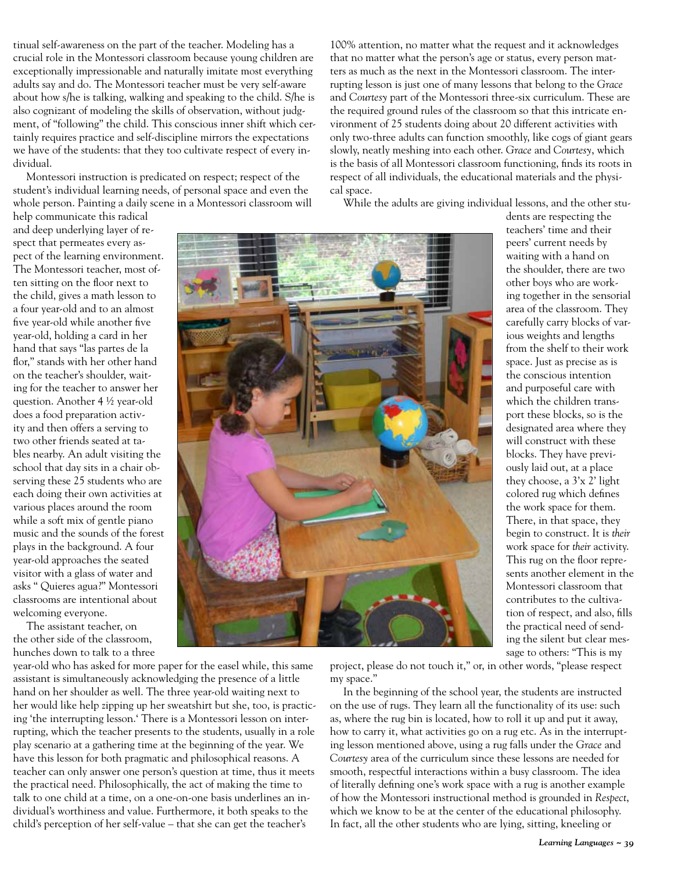tinual self-awareness on the part of the teacher. Modeling has a crucial role in the Montessori classroom because young children are exceptionally impressionable and naturally imitate most everything adults say and do. The Montessori teacher must be very self-aware about how s/he is talking, walking and speaking to the child. S/he is also cognizant of modeling the skills of observation, without judgment, of "following" the child. This conscious inner shift which certainly requires practice and self-discipline mirrors the expectations we have of the students: that they too cultivate respect of every individual.

Montessori instruction is predicated on respect; respect of the student's individual learning needs, of personal space and even the whole person. Painting a daily scene in a Montessori classroom will 100% attention, no matter what the request and it acknowledges that no matter what the person's age or status, every person matters as much as the next in the Montessori classroom. The interrupting lesson is just one of many lessons that belong to the *Grace* and *Courtesy* part of the Montessori three-six curriculum. These are the required ground rules of the classroom so that this intricate environment of 25 students doing about 20 different activities with only two-three adults can function smoothly, like cogs of giant gears slowly, neatly meshing into each other. *Grace* and *Courtesy*, which is the basis of all Montessori classroom functioning, finds its roots in respect of all individuals, the educational materials and the physical space.

While the adults are giving individual lessons, and the other stu-

help communicate this radical and deep underlying layer of respect that permeates every aspect of the learning environment. The Montessori teacher, most often sitting on the floor next to the child, gives a math lesson to a four year-old and to an almost five year-old while another five year-old, holding a card in her hand that says "las partes de la flor," stands with her other hand on the teacher's shoulder, waiting for the teacher to answer her question. Another 4 ½ year-old does a food preparation activity and then offers a serving to two other friends seated at tables nearby. An adult visiting the school that day sits in a chair observing these 25 students who are each doing their own activities at various places around the room while a soft mix of gentle piano music and the sounds of the forest plays in the background. A four year-old approaches the seated visitor with a glass of water and asks " Quieres agua?" Montessori classrooms are intentional about welcoming everyone.

The assistant teacher, on the other side of the classroom, hunches down to talk to a three

year-old who has asked for more paper for the easel while, this same assistant is simultaneously acknowledging the presence of a little hand on her shoulder as well. The three year-old waiting next to her would like help zipping up her sweatshirt but she, too, is practicing 'the interrupting lesson.' There is a Montessori lesson on interrupting, which the teacher presents to the students, usually in a role play scenario at a gathering time at the beginning of the year. We have this lesson for both pragmatic and philosophical reasons. A teacher can only answer one person's question at time, thus it meets the practical need. Philosophically, the act of making the time to talk to one child at a time, on a one-on-one basis underlines an individual's worthiness and value. Furthermore, it both speaks to the child's perception of her self-value – that she can get the teacher's



dents are respecting the teachers' time and their peers' current needs by waiting with a hand on the shoulder, there are two other boys who are working together in the sensorial area of the classroom. They carefully carry blocks of various weights and lengths from the shelf to their work space. Just as precise as is the conscious intention and purposeful care with which the children transport these blocks, so is the designated area where they will construct with these blocks. They have previously laid out, at a place they choose, a 3'x 2' light colored rug which defines the work space for them. There, in that space, they begin to construct. It is *their* work space for *their* activity. This rug on the floor represents another element in the Montessori classroom that contributes to the cultivation of respect, and also, fills the practical need of sending the silent but clear message to others: "This is my

project, please do not touch it," or, in other words, "please respect my space."

In the beginning of the school year, the students are instructed on the use of rugs. They learn all the functionality of its use: such as, where the rug bin is located, how to roll it up and put it away, how to carry it, what activities go on a rug etc. As in the interrupting lesson mentioned above, using a rug falls under the *Grace* and *Courtesy* area of the curriculum since these lessons are needed for smooth, respectful interactions within a busy classroom. The idea of literally defining one's work space with a rug is another example of how the Montessori instructional method is grounded in *Respect*, which we know to be at the center of the educational philosophy. In fact, all the other students who are lying, sitting, kneeling or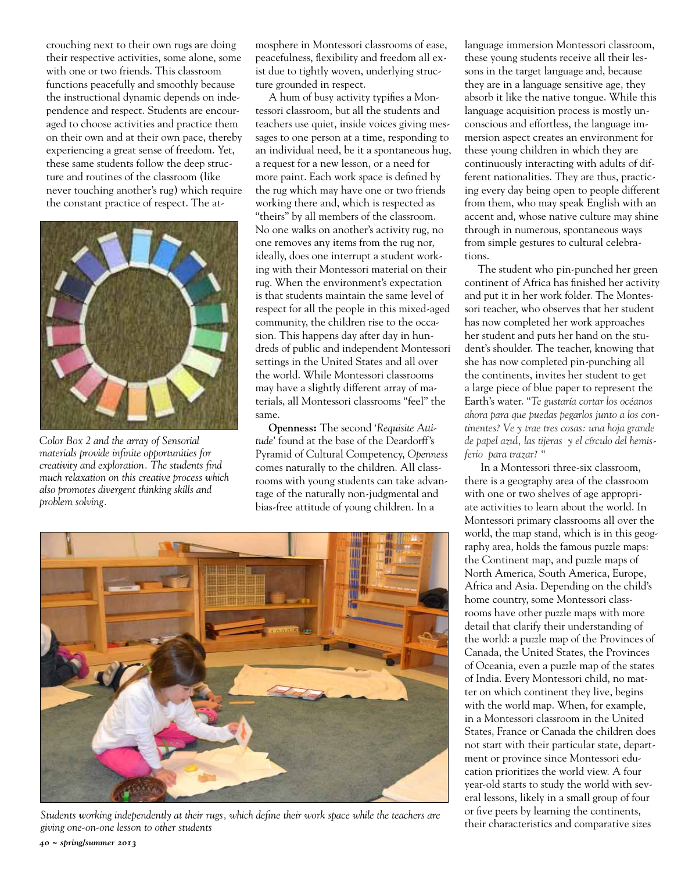crouching next to their own rugs are doing their respective activities, some alone, some with one or two friends. This classroom functions peacefully and smoothly because the instructional dynamic depends on independence and respect. Students are encouraged to choose activities and practice them on their own and at their own pace, thereby experiencing a great sense of freedom. Yet, these same students follow the deep structure and routines of the classroom (like never touching another's rug) which require the constant practice of respect. The at-



*Color Box 2 and the array of Sensorial materials provide infinite opportunities for creativity and exploration. The students find much relaxation on this creative process which also promotes divergent thinking skills and problem solving.* 

mosphere in Montessori classrooms of ease, peacefulness, flexibility and freedom all exist due to tightly woven, underlying structure grounded in respect.

A hum of busy activity typifies a Montessori classroom, but all the students and teachers use quiet, inside voices giving messages to one person at a time, responding to an individual need, be it a spontaneous hug, a request for a new lesson, or a need for more paint. Each work space is defined by the rug which may have one or two friends working there and, which is respected as "theirs" by all members of the classroom. No one walks on another's activity rug, no one removes any items from the rug nor, ideally, does one interrupt a student working with their Montessori material on their rug. When the environment's expectation is that students maintain the same level of respect for all the people in this mixed-aged community, the children rise to the occasion. This happens day after day in hundreds of public and independent Montessori settings in the United States and all over the world. While Montessori classrooms may have a slightly different array of materials, all Montessori classrooms "feel" the same.

**Openness:** The second '*Requisite Attitude*' found at the base of the Deardorff's Pyramid of Cultural Competency, *Openness* comes naturally to the children. All classrooms with young students can take advantage of the naturally non-judgmental and bias-free attitude of young children. In a



Students working independently at their rugs, which define their work space while the teachers are <sup>or nve</sup> peers by learning the continents,<br>giving one-on-one lesson to other students *giving one-on-one lesson to other students*

language immersion Montessori classroom, these young students receive all their lessons in the target language and, because they are in a language sensitive age, they absorb it like the native tongue. While this language acquisition process is mostly unconscious and effortless, the language immersion aspect creates an environment for these young children in which they are continuously interacting with adults of different nationalities. They are thus, practicing every day being open to people different from them, who may speak English with an accent and, whose native culture may shine through in numerous, spontaneous ways from simple gestures to cultural celebrations.

The student who pin-punched her green continent of Africa has finished her activity and put it in her work folder. The Montessori teacher, who observes that her student has now completed her work approaches her student and puts her hand on the student's shoulder. The teacher, knowing that she has now completed pin-punching all the continents, invites her student to get a large piece of blue paper to represent the Earth's water. "*Te gustaría cortar los océanos ahora para que puedas pegarlos junto a los continentes? Ve y trae tres cosas: una hoja grande de papel azul, las tijeras y el círculo del hemisferio para trazar?* "

 In a Montessori three-six classroom, there is a geography area of the classroom with one or two shelves of age appropriate activities to learn about the world. In Montessori primary classrooms all over the world, the map stand, which is in this geography area, holds the famous puzzle maps: the Continent map, and puzzle maps of North America, South America, Europe, Africa and Asia. Depending on the child's home country, some Montessori classrooms have other puzzle maps with more detail that clarify their understanding of the world: a puzzle map of the Provinces of Canada, the United States, the Provinces of Oceania, even a puzzle map of the states of India. Every Montessori child, no matter on which continent they live, begins with the world map. When, for example, in a Montessori classroom in the United States, France or Canada the children does not start with their particular state, department or province since Montessori education prioritizes the world view. A four year-old starts to study the world with several lessons, likely in a small group of four or five peers by learning the continents,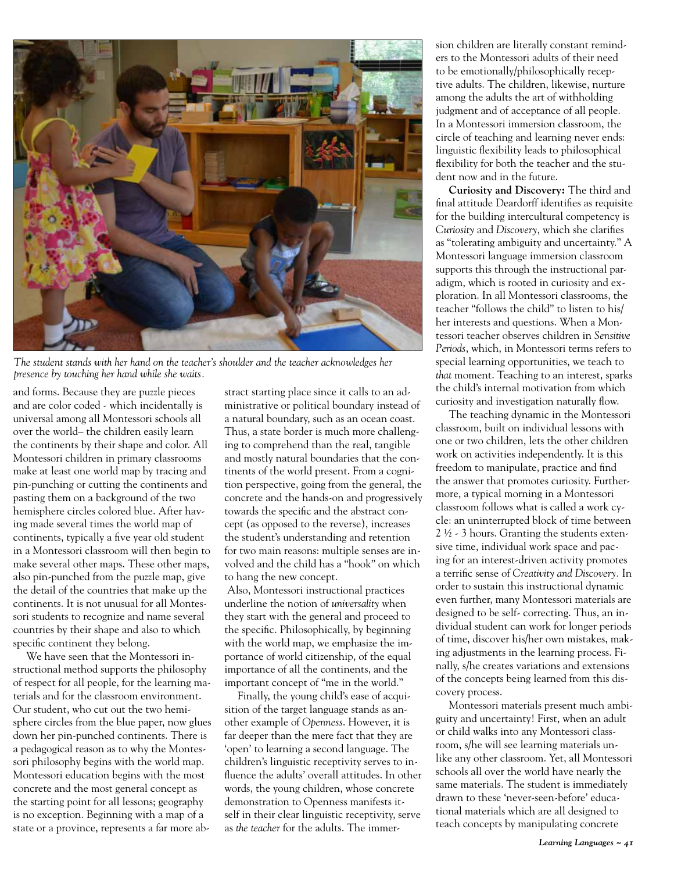

*The student stands with her hand on the teacher's shoulder and the teacher acknowledges her presence by touching her hand while she waits.* 

and forms. Because they are puzzle pieces and are color coded - which incidentally is universal among all Montessori schools all over the world– the children easily learn the continents by their shape and color. All Montessori children in primary classrooms make at least one world map by tracing and pin-punching or cutting the continents and pasting them on a background of the two hemisphere circles colored blue. After having made several times the world map of continents, typically a five year old student in a Montessori classroom will then begin to make several other maps. These other maps, also pin-punched from the puzzle map, give the detail of the countries that make up the continents. It is not unusual for all Montessori students to recognize and name several countries by their shape and also to which specific continent they belong.

We have seen that the Montessori instructional method supports the philosophy of respect for all people, for the learning materials and for the classroom environment. Our student, who cut out the two hemisphere circles from the blue paper, now glues down her pin-punched continents. There is a pedagogical reason as to why the Montessori philosophy begins with the world map. Montessori education begins with the most concrete and the most general concept as the starting point for all lessons; geography is no exception. Beginning with a map of a state or a province, represents a far more abstract starting place since it calls to an administrative or political boundary instead of a natural boundary, such as an ocean coast. Thus, a state border is much more challenging to comprehend than the real, tangible and mostly natural boundaries that the continents of the world present. From a cognition perspective, going from the general, the concrete and the hands-on and progressively towards the specific and the abstract concept (as opposed to the reverse), increases the student's understanding and retention for two main reasons: multiple senses are involved and the child has a "hook" on which to hang the new concept.

 Also, Montessori instructional practices underline the notion of *universality* when they start with the general and proceed to the specific. Philosophically, by beginning with the world map, we emphasize the importance of world citizenship, of the equal importance of all the continents, and the important concept of "me in the world."

Finally, the young child's ease of acquisition of the target language stands as another example of *Openness*. However, it is far deeper than the mere fact that they are 'open' to learning a second language. The children's linguistic receptivity serves to influence the adults' overall attitudes. In other words, the young children, whose concrete demonstration to Openness manifests itself in their clear linguistic receptivity, serve as *the teacher* for the adults. The immersion children are literally constant reminders to the Montessori adults of their need to be emotionally/philosophically receptive adults. The children, likewise, nurture among the adults the art of withholding judgment and of acceptance of all people. In a Montessori immersion classroom, the circle of teaching and learning never ends: linguistic flexibility leads to philosophical flexibility for both the teacher and the student now and in the future.

**Curiosity and Discovery:** The third and final attitude Deardorff identifies as requisite for the building intercultural competency is *Curiosity* and *Discovery*, which she clarifies as "tolerating ambiguity and uncertainty." A Montessori language immersion classroom supports this through the instructional paradigm, which is rooted in curiosity and exploration. In all Montessori classrooms, the teacher "follows the child" to listen to his/ her interests and questions. When a Montessori teacher observes children in *Sensitive Periods*, which, in Montessori terms refers to special learning opportunities, we teach to *that* moment. Teaching to an interest, sparks the child's internal motivation from which curiosity and investigation naturally flow.

The teaching dynamic in the Montessori classroom, built on individual lessons with one or two children, lets the other children work on activities independently. It is this freedom to manipulate, practice and find the answer that promotes curiosity. Furthermore, a typical morning in a Montessori classroom follows what is called a work cycle: an uninterrupted block of time between 2 ½ - 3 hours. Granting the students extensive time, individual work space and pacing for an interest-driven activity promotes a terrific sense of *Creativity and Discovery.* In order to sustain this instructional dynamic even further, many Montessori materials are designed to be self- correcting. Thus, an individual student can work for longer periods of time, discover his/her own mistakes, making adjustments in the learning process. Finally, s/he creates variations and extensions of the concepts being learned from this discovery process.

Montessori materials present much ambiguity and uncertainty! First, when an adult or child walks into any Montessori classroom, s/he will see learning materials unlike any other classroom. Yet, all Montessori schools all over the world have nearly the same materials. The student is immediately drawn to these 'never-seen-before' educational materials which are all designed to teach concepts by manipulating concrete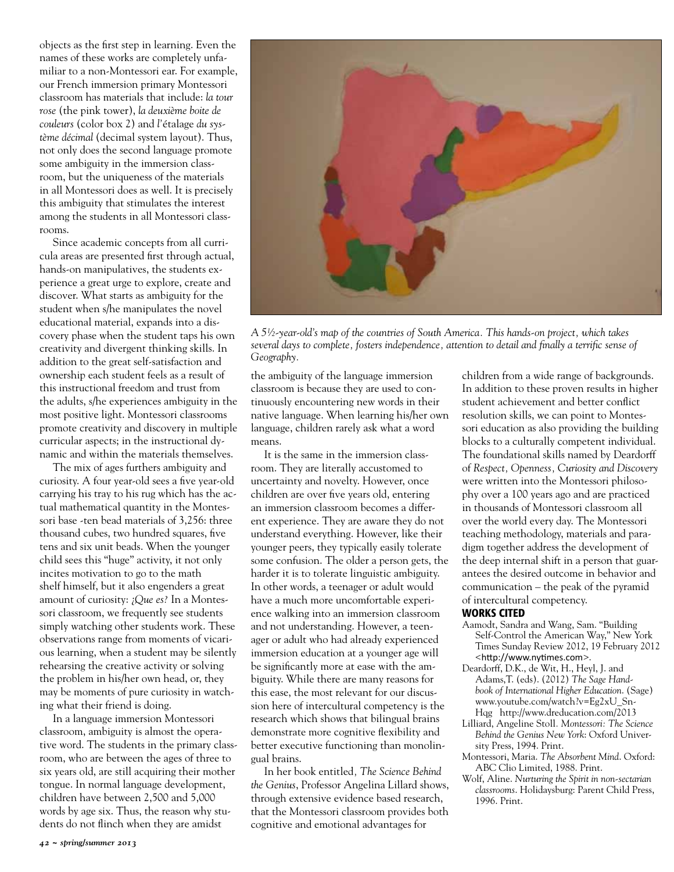objects as the first step in learning. Even the names of these works are completely unfamiliar to a non-Montessori ear. For example, our French immersion primary Montessori classroom has materials that include: *la tour rose* (the pink tower), *la deuxième boite de couleurs* (color box 2) and *l'*étalage *du système décimal* (decimal system layout). Thus, not only does the second language promote some ambiguity in the immersion classroom, but the uniqueness of the materials in all Montessori does as well. It is precisely this ambiguity that stimulates the interest among the students in all Montessori classrooms.

Since academic concepts from all curricula areas are presented first through actual, hands-on manipulatives, the students experience a great urge to explore, create and discover. What starts as ambiguity for the student when s/he manipulates the novel educational material, expands into a discovery phase when the student taps his own creativity and divergent thinking skills. In addition to the great self-satisfaction and ownership each student feels as a result of this instructional freedom and trust from the adults, s/he experiences ambiguity in the most positive light. Montessori classrooms promote creativity and discovery in multiple curricular aspects; in the instructional dynamic and within the materials themselves.

The mix of ages furthers ambiguity and curiosity. A four year-old sees a five year-old carrying his tray to his rug which has the actual mathematical quantity in the Montessori base -ten bead materials of 3,256: three thousand cubes, two hundred squares, five tens and six unit beads. When the younger child sees this "huge" activity, it not only incites motivation to go to the math shelf himself, but it also engenders a great amount of curiosity: ¿*Que es?* In a Montessori classroom, we frequently see students simply watching other students work. These observations range from moments of vicarious learning, when a student may be silently rehearsing the creative activity or solving the problem in his/her own head, or, they may be moments of pure curiosity in watching what their friend is doing.

In a language immersion Montessori classroom, ambiguity is almost the operative word. The students in the primary classroom, who are between the ages of three to six years old, are still acquiring their mother tongue. In normal language development, children have between 2,500 and 5,000 words by age six. Thus, the reason why students do not flinch when they are amidst



*A 5½-year-old's map of the countries of South America. This hands-on project, which takes several days to complete, fosters independence, attention to detail and finally a terrific sense of Geography.* 

the ambiguity of the language immersion classroom is because they are used to continuously encountering new words in their native language. When learning his/her own language, children rarely ask what a word means.

It is the same in the immersion classroom. They are literally accustomed to uncertainty and novelty. However, once children are over five years old, entering an immersion classroom becomes a different experience. They are aware they do not understand everything. However, like their younger peers, they typically easily tolerate some confusion. The older a person gets, the harder it is to tolerate linguistic ambiguity. In other words, a teenager or adult would have a much more uncomfortable experience walking into an immersion classroom and not understanding. However, a teenager or adult who had already experienced immersion education at a younger age will be significantly more at ease with the ambiguity. While there are many reasons for this ease, the most relevant for our discussion here of intercultural competency is the research which shows that bilingual brains demonstrate more cognitive flexibility and better executive functioning than monolingual brains.

In her book entitled*, The Science Behind the Genius*, Professor Angelina Lillard shows, through extensive evidence based research, that the Montessori classroom provides both cognitive and emotional advantages for

children from a wide range of backgrounds. In addition to these proven results in higher student achievement and better conflict resolution skills, we can point to Montessori education as also providing the building blocks to a culturally competent individual. The foundational skills named by Deardorff of *Respect, Openness, Curiosity and Discovery* were written into the Montessori philosophy over a 100 years ago and are practiced in thousands of Montessori classroom all over the world every day. The Montessori teaching methodology, materials and paradigm together address the development of the deep internal shift in a person that guarantees the desired outcome in behavior and communication – the peak of the pyramid of intercultural competency.

### Works Cited

- Aamodt, Sandra and Wang, Sam. "Building Self-Control the American Way," New York Times Sunday Review 2012, 19 February 2012 <http://www.nytimes.com>.
- Deardorff, D.K., de Wit, H., Heyl, J. and Adams,T. (eds). (2012) *The Sage Handbook of International Higher Education*. (Sage) www.youtube.com/watch?v=Eg2xU\_Sn-Hqg http://www.dreducation.com/2013
- Lilliard, Angeline Stoll*. Montessori: The Science Behind the Genius New York*: Oxford University Press, 1994. Print.
- Montessori, Maria. *The Absorbent Mind*. Oxford: ABC Clio Limited, 1988. Print.
- Wolf, Aline. *Nurturing the Spirit in non-sectarian classrooms*. Holidaysburg: Parent Child Press, 1996. Print.